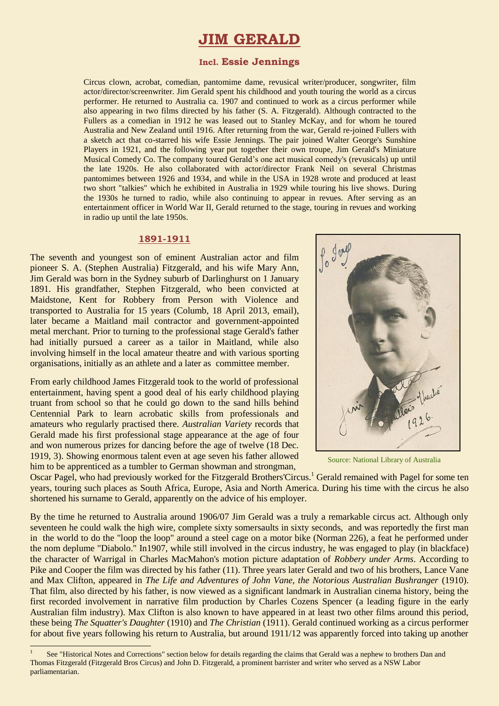# **JIM GERALD**

### **Incl. Essie Jennings**

Circus clown, acrobat, comedian, pantomime dame, revusical writer/producer, songwriter, film actor/director/screenwriter. Jim Gerald spent his childhood and youth touring the world as a circus performer. He returned to Australia ca. 1907 and continued to work as a circus performer while also appearing in two films directed by his father (S. A. Fitzgerald). Although contracted to the Fullers as a comedian in 1912 he was leased out to Stanley McKay, and for whom he toured Australia and New Zealand until 1916. After returning from the war, Gerald re-joined Fullers with a sketch act that co-starred his wife Essie Jennings. The pair joined Walter George's Sunshine Players in 1921, and the following year put together their own troupe, Jim Gerald's Miniature Musical Comedy Co. The company toured Gerald's one act musical comedy's (revusicals) up until the late 1920s. He also collaborated with actor/director Frank Neil on several Christmas pantomimes between 1926 and 1934, and while in the USA in 1928 wrote and produced at least two short "talkies" which he exhibited in Australia in 1929 while touring his live shows. During the 1930s he turned to radio, while also continuing to appear in revues. After serving as an entertainment officer in World War II, Gerald returned to the stage, touring in revues and working in radio up until the late 1950s.

#### **1891-1911**

The seventh and youngest son of eminent Australian actor and film pioneer S. A. (Stephen Australia) Fitzgerald, and his wife Mary Ann, Jim Gerald was born in the Sydney suburb of Darlinghurst on 1 January 1891. His grandfather, Stephen Fitzgerald, who been convicted at Maidstone, Kent for Robbery from Person with Violence and transported to Australia for 15 years (Columb, 18 April 2013, email), later became a Maitland mail contractor and government-appointed metal merchant. Prior to turning to the professional stage Gerald's father had initially pursued a career as a tailor in Maitland, while also involving himself in the local amateur theatre and with various sporting organisations, initially as an athlete and a later as committee member.

From early childhood James Fitzgerald took to the world of professional entertainment, having spent a good deal of his early childhood playing truant from school so that he could go down to the sand hills behind Centennial Park to learn acrobatic skills from professionals and amateurs who regularly practised there. *Australian Variety* records that Gerald made his first professional stage appearance at the age of four and won numerous prizes for dancing before the age of twelve (18 Dec. 1919, 3). Showing enormous talent even at age seven his father allowed him to be apprenticed as a tumbler to German showman and strongman,

 $\overline{a}$ 



Source: National Library of Australia

Oscar Pagel, who had previously worked for the Fitzgerald Brothers'Circus.<sup>1</sup> Gerald remained with Pagel for some ten years, touring such places as South Africa, Europe, Asia and North America. During his time with the circus he also shortened his surname to Gerald, apparently on the advice of his employer.

By the time he returned to Australia around 1906/07 Jim Gerald was a truly a remarkable circus act. Although only seventeen he could walk the high wire, complete sixty somersaults in sixty seconds, and was reportedly the first man in the world to do the "loop the loop" around a steel cage on a motor bike (Norman 226), a feat he performed under the nom deplume "Diabolo." In1907, while still involved in the circus industry, he was engaged to play (in blackface) the character of Warrigal in Charles MacMahon's motion picture adaptation of *Robbery under Arms*. According to Pike and Cooper the film was directed by his father (11). Three years later Gerald and two of his brothers, Lance Vane and Max Clifton, appeared in *The Life and Adventures of John Vane, the Notorious Australian Bushranger* (1910). That film, also directed by his father, is now viewed as a significant landmark in Australian cinema history, being the first recorded involvement in narrative film production by Charles Cozens Spencer (a leading figure in the early Australian film industry). Max Clifton is also known to have appeared in at least two other films around this period, these being *The Squatter's Daughter* (1910) and *The Christian* (1911). Gerald continued working as a circus performer for about five years following his return to Australia, but around 1911/12 was apparently forced into taking up another

<sup>1</sup> See "Historical Notes and Corrections" section below for details regarding the claims that Gerald was a nephew to brothers Dan and Thomas Fitzgerald (Fitzgerald Bros Circus) and John D. Fitzgerald, a prominent barrister and writer who served as a NSW Labor parliamentarian.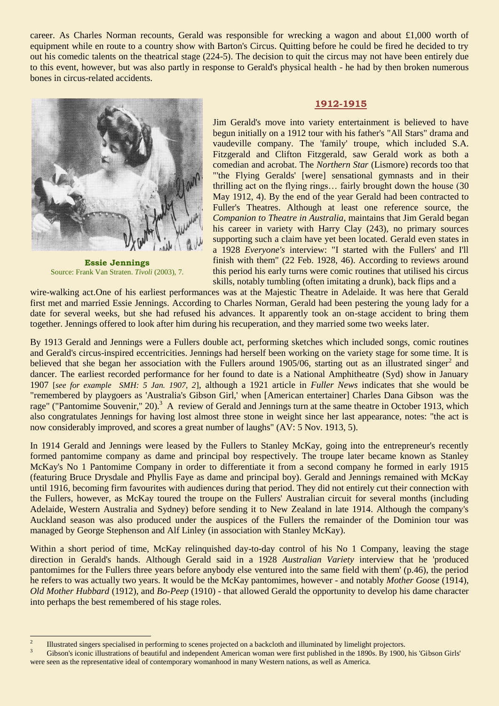career. As Charles Norman recounts, Gerald was responsible for wrecking a wagon and about £1,000 worth of equipment while en route to a country show with Barton's Circus. Quitting before he could be fired he decided to try out his comedic talents on the theatrical stage (224-5). The decision to quit the circus may not have been entirely due to this event, however, but was also partly in response to Gerald's physical health - he had by then broken numerous bones in circus-related accidents.



**Essie Jennings** Source: Frank Van Straten. *Tivoli* (2003), 7.

#### **1912-1915**

Jim Gerald's move into variety entertainment is believed to have begun initially on a 1912 tour with his father's "All Stars" drama and vaudeville company. The 'family' troupe, which included S.A. Fitzgerald and Clifton Fitzgerald, saw Gerald work as both a comedian and acrobat. The *Northern Star* (Lismore) records too that "'the Flying Geralds' [were] sensational gymnasts and in their thrilling act on the flying rings… fairly brought down the house (30 May 1912, 4). By the end of the year Gerald had been contracted to Fuller's Theatres. Although at least one reference source, the *Companion to Theatre in Australia*, maintains that Jim Gerald began his career in variety with Harry Clay (243), no primary sources supporting such a claim have yet been located. Gerald even states in a 1928 *Everyone's* interview: "I started with the Fullers' and I'll finish with them" (22 Feb. 1928, 46). According to reviews around this period his early turns were comic routines that utilised his circus skills, notably tumbling (often imitating a drunk), back flips and a

wire-walking act.One of his earliest performances was at the Majestic Theatre in Adelaide. It was here that Gerald first met and married Essie Jennings. According to Charles Norman, Gerald had been pestering the young lady for a date for several weeks, but she had refused his advances. It apparently took an on-stage accident to bring them together. Jennings offered to look after him during his recuperation, and they married some two weeks later.

By 1913 Gerald and Jennings were a Fullers double act, performing sketches which included songs, comic routines and Gerald's circus-inspired eccentricities. Jennings had herself been working on the variety stage for some time. It is believed that she began her association with the Fullers around 1905/06, starting out as an illustrated singer<sup>2</sup> and dancer. The earliest recorded performance for her found to date is a National Amphitheatre (Syd) show in January 1907 [*see for example SMH: 5 Jan. 1907, 2*], although a 1921 article in *Fuller News* indicates that she would be "remembered by playgoers as 'Australia's Gibson Girl,' when [American entertainer] Charles Dana Gibson was the rage" ("Pantomime Souvenir," 20).<sup>3</sup> A review of Gerald and Jennings turn at the same theatre in October 1913, which also congratulates Jennings for having lost almost three stone in weight since her last appearance, notes: "the act is now considerably improved, and scores a great number of laughs" (AV: 5 Nov. 1913, 5).

In 1914 Gerald and Jennings were leased by the Fullers to Stanley McKay, going into the entrepreneur's recently formed pantomime company as dame and principal boy respectively. The troupe later became known as Stanley McKay's No 1 Pantomime Company in order to differentiate it from a second company he formed in early 1915 (featuring Bruce Drysdale and Phyllis Faye as dame and principal boy). Gerald and Jennings remained with McKay until 1916, becoming firm favourites with audiences during that period. They did not entirely cut their connection with the Fullers, however, as McKay toured the troupe on the Fullers' Australian circuit for several months (including Adelaide, Western Australia and Sydney) before sending it to New Zealand in late 1914. Although the company's Auckland season was also produced under the auspices of the Fullers the remainder of the Dominion tour was managed by George Stephenson and Alf Linley (in association with Stanley McKay).

Within a short period of time, McKay relinquished day-to-day control of his No 1 Company, leaving the stage direction in Gerald's hands. Although Gerald said in a 1928 *Australian Variety* interview that he 'produced pantomimes for the Fullers three years before anybody else ventured into the same field with them' (p.46), the period he refers to was actually two years. It would be the McKay pantomimes, however - and notably *Mother Goose* (1914), *Old Mother Hubbard* (1912), and *Bo-Peep* (1910) - that allowed Gerald the opportunity to develop his dame character into perhaps the best remembered of his stage roles.

 $\frac{1}{2}$ Illustrated singers specialised in performing to scenes projected on a backcloth and illuminated by limelight projectors.

<sup>&</sup>lt;sup>3</sup> Gibson's iconic illustrations of beautiful and independent American woman were first published in the 1890s. By 1900, his 'Gibson Girls' were seen as the representative ideal of contemporary womanhood in many Western nations, as well as America.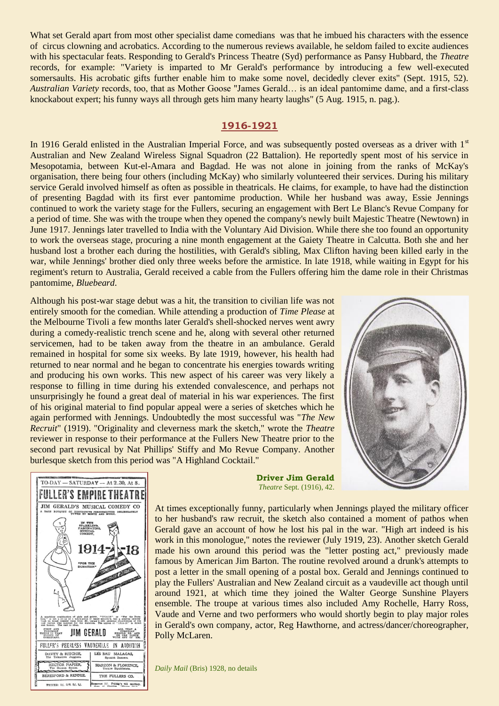What set Gerald apart from most other specialist dame comedians was that he imbued his characters with the essence of circus clowning and acrobatics. According to the numerous reviews available, he seldom failed to excite audiences with his spectacular feats. Responding to Gerald's Princess Theatre (Syd) performance as Pansy Hubbard, the *Theatre* records, for example: "Variety is imparted to Mr Gerald's performance by introducing a few well-executed somersaults. His acrobatic gifts further enable him to make some novel, decidedly clever exits" (Sept. 1915, 52). *Australian Variety* records, too, that as Mother Goose "James Gerald… is an ideal pantomime dame, and a first-class knockabout expert; his funny ways all through gets him many hearty laughs" (5 Aug. 1915, n. pag.).

### **1916-1921**

In 1916 Gerald enlisted in the Australian Imperial Force, and was subsequently posted overseas as a driver with 1<sup>st</sup> Australian and New Zealand Wireless Signal Squadron (22 Battalion). He reportedly spent most of his service in Mesopotamia, between Kut-el-Amara and Bagdad. He was not alone in joining from the ranks of McKay's organisation, there being four others (including McKay) who similarly volunteered their services. During his military service Gerald involved himself as often as possible in theatricals. He claims, for example, to have had the distinction of presenting Bagdad with its first ever pantomime production. While her husband was away, Essie Jennings continued to work the variety stage for the Fullers, securing an engagement with Bert Le Blanc's Revue Company for a period of time. She was with the troupe when they opened the company's newly built Majestic Theatre (Newtown) in June 1917. Jennings later travelled to India with the Voluntary Aid Division. While there she too found an opportunity to work the overseas stage, procuring a nine month engagement at the Gaiety Theatre in Calcutta. Both she and her husband lost a brother each during the hostilities, with Gerald's sibling, Max Clifton having been killed early in the war, while Jennings' brother died only three weeks before the armistice. In late 1918, while waiting in Egypt for his regiment's return to Australia, Gerald received a cable from the Fullers offering him the dame role in their Christmas pantomime, *Bluebeard*.

Although his post-war stage debut was a hit, the transition to civilian life was not entirely smooth for the comedian. While attending a production of *Time Please* at the Melbourne Tivoli a few months later Gerald's shell-shocked nerves went awry during a comedy-realistic trench scene and he, along with several other returned servicemen, had to be taken away from the theatre in an ambulance. Gerald remained in hospital for some six weeks. By late 1919, however, his health had returned to near normal and he began to concentrate his energies towards writing and producing his own works. This new aspect of his career was very likely a response to filling in time during his extended convalescence, and perhaps not unsurprisingly he found a great deal of material in his war experiences. The first of his original material to find popular appeal were a series of sketches which he again performed with Jennings. Undoubtedly the most successful was "*The New Recruit*" (1919). "Originality and cleverness mark the sketch," wrote the *Theatre*  reviewer in response to their performance at the Fullers New Theatre prior to the second part revusical by Nat Phillips' Stiffy and Mo Revue Company. Another burlesque sketch from this period was "A Highland Cocktail."





**Driver Jim Gerald** *Theatre* Sept. (1916), 42.

At times exceptionally funny, particularly when Jennings played the military officer to her husband's raw recruit, the sketch also contained a moment of pathos when Gerald gave an account of how he lost his pal in the war. "High art indeed is his work in this monologue," notes the reviewer (July 1919, 23). Another sketch Gerald made his own around this period was the "letter posting act," previously made famous by American Jim Barton. The routine revolved around a drunk's attempts to post a letter in the small opening of a postal box. Gerald and Jennings continued to play the Fullers' Australian and New Zealand circuit as a vaudeville act though until around 1921, at which time they joined the Walter George Sunshine Players ensemble. The troupe at various times also included Amy Rochelle, Harry Ross, Vaude and Verne and two performers who would shortly begin to play major roles in Gerald's own company, actor, Reg Hawthorne, and actress/dancer/choreographer, Polly McLaren.

*Daily Mail* (Bris) 1928, no details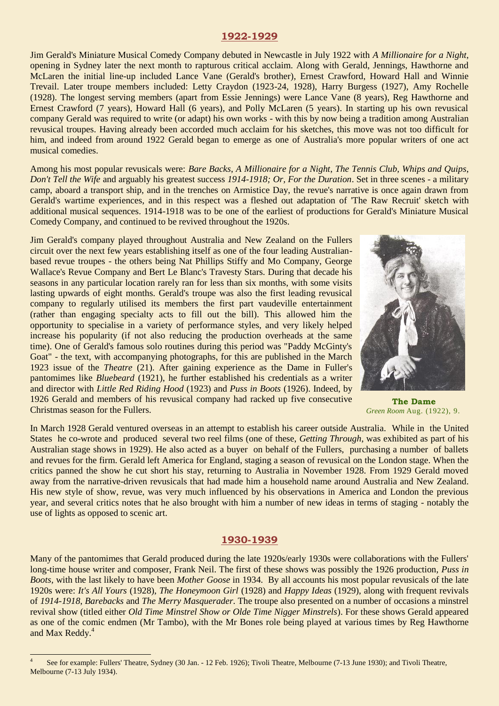### **1922-1929**

Jim Gerald's Miniature Musical Comedy Company debuted in Newcastle in July 1922 with *A Millionaire for a Night*, opening in Sydney later the next month to rapturous critical acclaim. Along with Gerald, Jennings, Hawthorne and McLaren the initial line-up included Lance Vane (Gerald's brother), Ernest Crawford, Howard Hall and Winnie Trevail. Later troupe members included: Letty Craydon (1923-24, 1928), Harry Burgess (1927), Amy Rochelle (1928). The longest serving members (apart from Essie Jennings) were Lance Vane (8 years), Reg Hawthorne and Ernest Crawford (7 years), Howard Hall (6 years), and Polly McLaren (5 years). In starting up his own revusical company Gerald was required to write (or adapt) his own works - with this by now being a tradition among Australian revusical troupes. Having already been accorded much acclaim for his sketches, this move was not too difficult for him, and indeed from around 1922 Gerald began to emerge as one of Australia's more popular writers of one act musical comedies.

Among his most popular revusicals were: *Bare Backs*, *A Millionaire for a Night*, *The Tennis Club, Whips and Quips*, *Don't Tell the Wife* and arguably his greatest success *1914-1918; Or, For the Duration*. Set in three scenes - a military camp, aboard a transport ship, and in the trenches on Armistice Day, the revue's narrative is once again drawn from Gerald's wartime experiences, and in this respect was a fleshed out adaptation of 'The Raw Recruit' sketch with additional musical sequences. 1914-1918 was to be one of the earliest of productions for Gerald's Miniature Musical Comedy Company, and continued to be revived throughout the 1920s.

Jim Gerald's company played throughout Australia and New Zealand on the Fullers circuit over the next few years establishing itself as one of the four leading Australianbased revue troupes - the others being Nat Phillips Stiffy and Mo Company, George Wallace's Revue Company and Bert Le Blanc's Travesty Stars. During that decade his seasons in any particular location rarely ran for less than six months, with some visits lasting upwards of eight months. Gerald's troupe was also the first leading revusical company to regularly utilised its members the first part vaudeville entertainment (rather than engaging specialty acts to fill out the bill). This allowed him the opportunity to specialise in a variety of performance styles, and very likely helped increase his popularity (if not also reducing the production overheads at the same time). One of Gerald's famous solo routines during this period was "Paddy McGinty's Goat" - the text, with accompanying photographs, for this are published in the March 1923 issue of the *Theatre* (21). After gaining experience as the Dame in Fuller's pantomimes like *Bluebeard* (1921), he further established his credentials as a writer and director with *Little Red Riding Hood* (1923) and *Puss in Boots* (1926). Indeed, by 1926 Gerald and members of his revusical company had racked up five consecutive Christmas season for the Fullers.



**The Dame** *Green Room* Aug. (1922), 9.

In March 1928 Gerald ventured overseas in an attempt to establish his career outside Australia. While in the United States he co-wrote and produced several two reel films (one of these, *Getting Through*, was exhibited as part of his Australian stage shows in 1929). He also acted as a buyer on behalf of the Fullers, purchasing a number of ballets and revues for the firm. Gerald left America for England, staging a season of revusical on the London stage. When the critics panned the show he cut short his stay, returning to Australia in November 1928. From 1929 Gerald moved away from the narrative-driven revusicals that had made him a household name around Australia and New Zealand. His new style of show, revue, was very much influenced by his observations in America and London the previous year, and several critics notes that he also brought with him a number of new ideas in terms of staging - notably the use of lights as opposed to scenic art.

### **1930-1939**

Many of the pantomimes that Gerald produced during the late 1920s/early 1930s were collaborations with the Fullers' long-time house writer and composer, Frank Neil. The first of these shows was possibly the 1926 production, *Puss in Boots,* with the last likely to have been *Mother Goose* in 1934. By all accounts his most popular revusicals of the late 1920s were: *It's All Yours* (1928), *The Honeymoon Girl* (1928) and *Happy Ideas* (1929), along with frequent revivals of *1914-1918*, *Barebacks* and *The Merry Masquerader*. The troupe also presented on a number of occasions a minstrel revival show (titled either *Old Time Minstrel Show or Olde Time Nigger Minstrels*). For these shows Gerald appeared as one of the comic endmen (Mr Tambo), with the Mr Bones role being played at various times by Reg Hawthorne and Max Reddy.<sup>4</sup>

1

<sup>4</sup> See for example: Fullers' Theatre, Sydney (30 Jan. - 12 Feb. 1926); Tivoli Theatre, Melbourne (7-13 June 1930); and Tivoli Theatre, Melbourne (7-13 July 1934).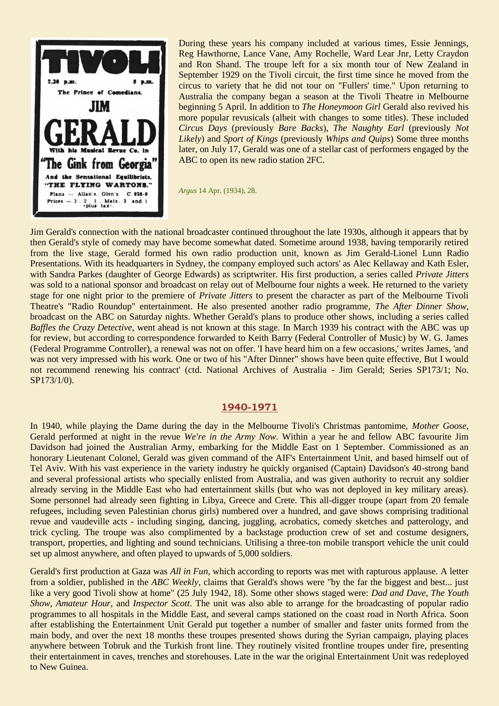

During these years his company included at various times, Essie Jennings, Reg Hawthorne, Lance Vane, Amy Rochelle, Ward Lear Jnr, Letty Craydon and Ron Shand. The troupe left for a six month tour of New Zealand in September 1929 on the Tivoli circuit, the first time since he moved from the circus to variety that he did not tour on "Fullers' time." Upon returning to Australia the company began a season at the Tivoli Theatre in Melbourne beginning 5 April. In addition to *The Honeymoon Girl* Gerald also revived his more popular revusicals (albeit with changes to some titles). These included *Circus Days* (previously *Bare Backs*), *The Naughty Earl* (previously *Not Likely*) and *Sport of Kings* (previously *Whips and Quips*) Some three months later, on July 17, Gerald was one of a stellar cast of performers engaged by the ABC to open its new radio station 2FC.

*Argus* 14 Apr. (1934), 28.

Jim Gerald's connection with the national broadcaster continued throughout the late 1930s, although it appears that by then Gerald's style of comedy may have become somewhat dated. Sometime around 1938, having temporarily retired from the live stage, Gerald formed his own radio production unit, known as Jim Gerald-Lionel Lunn Radio Presentations. With its headquarters in Sydney, the company employed such actors' as Alec Kellaway and Kath Esler, with Sandra Parkes (daughter of George Edwards) as scriptwriter. His first production, a series called *Private Jitters* was sold to a national sponsor and broadcast on relay out of Melbourne four nights a week. He returned to the variety stage for one night prior to the premiere of *Private Jitters* to present the character as part of the Melbourne Tivoli Theatre's "Radio Roundup" entertainment. He also presented another radio programme, *The After Dinner Show*, broadcast on the ABC on Saturday nights. Whether Gerald's plans to produce other shows, including a series called *Baffles the Crazy Detective*, went ahead is not known at this stage. In March 1939 his contract with the ABC was up for review, but according to correspondence forwarded to Keith Barry (Federal Controller of Music) by W. G. James (Federal Programme Controller), a renewal was not on offer. 'I have heard him on a few occasions,' writes James, 'and was not very impressed with his work. One or two of his "After Dinner" shows have been quite effective, But I would not recommend renewing his contract' (ctd. National Archives of Australia - Jim Gerald; Series SP173/1; No. SP173/1/0).

### **1940-1971**

In 1940, while playing the Dame during the day in the Melbourne Tivoli's Christmas pantomime, *Mother Goose*, Gerald performed at night in the revue *We're in the Army Now*. Within a year he and fellow ABC favourite Jim Davidson had joined the Australian Army, embarking for the Middle East on 1 September. Commissioned as an honorary Lieutenant Colonel, Gerald was given command of the AIF's Entertainment Unit, and based himself out of Tel Aviv. With his vast experience in the variety industry he quickly organised (Captain) Davidson's 40-strong band and several professional artists who specially enlisted from Australia, and was given authority to recruit any soldier already serving in the Middle East who had entertainment skills (but who was not deployed in key military areas). Some personnel had already seen fighting in Libya, Greece and Crete. This all-digger troupe (apart from 20 female refugees, including seven Palestinian chorus girls) numbered over a hundred, and gave shows comprising traditional revue and vaudeville acts - including singing, dancing, juggling, acrobatics, comedy sketches and patterology, and trick cycling. The troupe was also complimented by a backstage production crew of set and costume designers, transport, properties, and lighting and sound technicians. Utilising a three-ton mobile transport vehicle the unit could set up almost anywhere, and often played to upwards of 5,000 soldiers.

Gerald's first production at Gaza was *All in Fun*, which according to reports was met with rapturous applause. A letter from a soldier, published in the *ABC Weekly*, claims that Gerald's shows were "by the far the biggest and best... just like a very good Tivoli show at home" (25 July 1942, 18). Some other shows staged were: *Dad and Dave*, *The Youth Show*, *Amateur Hour*, and *Inspector Scott*. The unit was also able to arrange for the broadcasting of popular radio programmes to all hospitals in the Middle East, and several camps stationed on the coast road in North Africa. Soon after establishing the Entertainment Unit Gerald put together a number of smaller and faster units formed from the main body, and over the next 18 months these troupes presented shows during the Syrian campaign, playing places anywhere between Tobruk and the Turkish front line. They routinely visited frontline troupes under fire, presenting their entertainment in caves, trenches and storehouses. Late in the war the original Entertainment Unit was redeployed to New Guinea.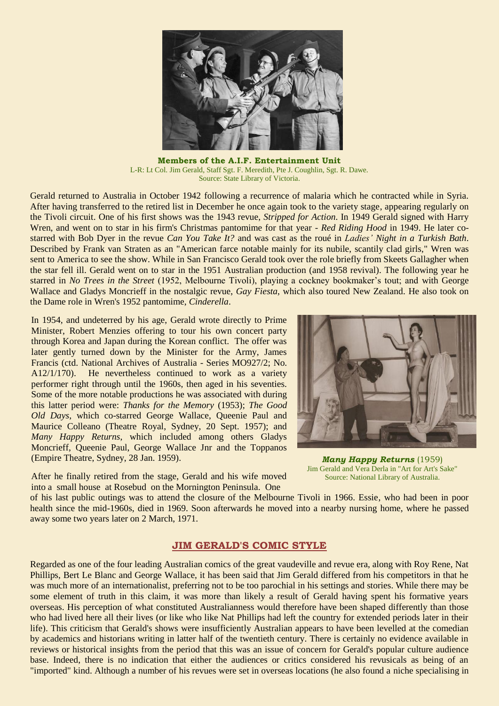

**Members of the A.I.F. Entertainment Unit** L-R: Lt Col. Jim Gerald, Staff Sgt. F. Meredith, Pte J. Coughlin, Sgt. R. Dawe. Source: State Library of Victoria.

Gerald returned to Australia in October 1942 following a recurrence of malaria which he contracted while in Syria. After having transferred to the retired list in December he once again took to the variety stage, appearing regularly on the Tivoli circuit. One of his first shows was the 1943 revue, *Stripped for Action*. In 1949 Gerald signed with Harry Wren, and went on to star in his firm's Christmas pantomime for that year - *Red Riding Hood* in 1949. He later costarred with Bob Dyer in the revue *Can You Take It?* and was cast as the roué in *Ladies' Night in a Turkish Bath*. Described by Frank van Straten as an "American farce notable mainly for its nubile, scantily clad girls," Wren was sent to America to see the show. While in San Francisco Gerald took over the role briefly from Skeets Gallagher when the star fell ill. Gerald went on to star in the 1951 Australian production (and 1958 revival). The following year he starred in *No Trees in the Street* (1952, Melbourne Tivoli), playing a cockney bookmaker's tout; and with George Wallace and Gladys Moncrieff in the nostalgic revue, *Gay Fiesta*, which also toured New Zealand. He also took on the Dame role in Wren's 1952 pantomime, *Cinderella*.

In 1954, and undeterred by his age, Gerald wrote directly to Prime Minister, Robert Menzies offering to tour his own concert party through Korea and Japan during the Korean conflict. The offer was later gently turned down by the Minister for the Army, James Francis (ctd. National Archives of Australia - Series MO927/2; No. A12/1/170). He nevertheless continued to work as a variety performer right through until the 1960s, then aged in his seventies. Some of the more notable productions he was associated with during this latter period were: *Thanks for the Memory* (1953); *The Good Old Days*, which co-starred George Wallace, Queenie Paul and Maurice Colleano (Theatre Royal, Sydney, 20 Sept. 1957); and *Many Happy Returns*, which included among others Gladys Moncrieff, Queenie Paul, George Wallace Jnr and the Toppanos (Empire Theatre, Sydney, 28 Jan. 1959).

*Many Happy Returns* (1959)

After he finally retired from the stage, Gerald and his wife moved into a small house at Rosebud on the Mornington Peninsula. One

Jim Gerald and Vera Derla in "Art for Art's Sake" Source: National Library of Australia.

of his last public outings was to attend the closure of the Melbourne Tivoli in 1966. Essie, who had been in poor health since the mid-1960s, died in 1969. Soon afterwards he moved into a nearby nursing home, where he passed away some two years later on 2 March, 1971.

### **JIM GERALD'S COMIC STYLE**

Regarded as one of the four leading Australian comics of the great vaudeville and revue era, along with Roy Rene, Nat Phillips, Bert Le Blanc and George Wallace, it has been said that Jim Gerald differed from his competitors in that he was much more of an internationalist, preferring not to be too parochial in his settings and stories. While there may be some element of truth in this claim, it was more than likely a result of Gerald having spent his formative years overseas. His perception of what constituted Australianness would therefore have been shaped differently than those who had lived here all their lives (or like who like Nat Phillips had left the country for extended periods later in their life). This criticism that Gerald's shows were insufficiently Australian appears to have been levelled at the comedian by academics and historians writing in latter half of the twentieth century. There is certainly no evidence available in reviews or historical insights from the period that this was an issue of concern for Gerald's popular culture audience base. Indeed, there is no indication that either the audiences or critics considered his revusicals as being of an "imported" kind. Although a number of his revues were set in overseas locations (he also found a niche specialising in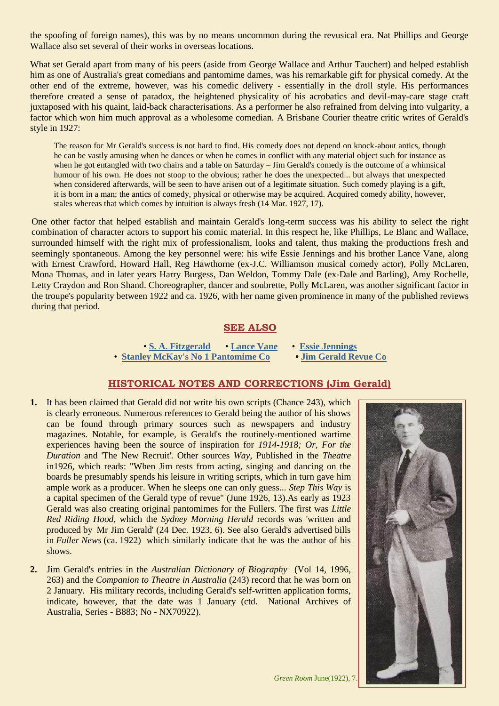the spoofing of foreign names), this was by no means uncommon during the revusical era. Nat Phillips and George Wallace also set several of their works in overseas locations.

What set Gerald apart from many of his peers (aside from George Wallace and Arthur Tauchert) and helped establish him as one of Australia's great comedians and pantomime dames, was his remarkable gift for physical comedy. At the other end of the extreme, however, was his comedic delivery - essentially in the droll style. His performances therefore created a sense of paradox, the heightened physicality of his acrobatics and devil-may-care stage craft juxtaposed with his quaint, laid-back characterisations. As a performer he also refrained from delving into vulgarity, a factor which won him much approval as a wholesome comedian. A Brisbane Courier theatre critic writes of Gerald's style in 1927:

The reason for Mr Gerald's success is not hard to find. His comedy does not depend on knock-about antics, though he can be vastly amusing when he dances or when he comes in conflict with any material object such for instance as when he got entangled with two chairs and a table on Saturday – Jim Gerald's comedy is the outcome of a whimsical humour of his own. He does not stoop to the obvious; rather he does the unexpected... but always that unexpected when considered afterwards, will be seen to have arisen out of a legitimate situation. Such comedy playing is a gift, it is born in a man; the antics of comedy, physical or otherwise may be acquired. Acquired comedy ability, however, stales whereas that which comes by intuition is always fresh (14 Mar. 1927, 17).

One other factor that helped establish and maintain Gerald's long-term success was his ability to select the right combination of character actors to support his comic material. In this respect he, like Phillips, Le Blanc and Wallace, surrounded himself with the right mix of professionalism, looks and talent, thus making the productions fresh and seemingly spontaneous. Among the key personnel were: his wife Essie Jennings and his brother Lance Vane, along with Ernest Crawford, Howard Hall, Reg Hawthorne (ex-J.C. Williamson musical comedy actor), Polly McLaren, Mona Thomas, and in later years Harry Burgess, Dan Weldon, Tommy Dale (ex-Dale and Barling), Amy Rochelle, Letty Craydon and Ron Shand. Choreographer, dancer and soubrette, Polly McLaren, was another significant factor in the troupe's popularity between 1922 and ca. 1926, with her name given prominence in many of the published reviews during that period.

# **SEE ALSO**

• **[S. A. Fitzgerald](http://ozvta.com/practitioners-other-a-l/)** • **[Lance Vane](http://ozvta.com/practitioners-u-v/)** • **[Essie Jennings](http://ozvta.com/practitioners-i-j/)** • **[Stanley McKay's No 1 Pantomime Co](http://ozvta.com/troupes-s-z/) • Jim [Gerald Revue Co](http://ozvta.com/troupes-g-l/)**

## **HISTORICAL NOTES AND CORRECTIONS (Jim Gerald)**

- **1.** It has been claimed that Gerald did not write his own scripts (Chance 243), which is clearly erroneous. Numerous references to Gerald being the author of his shows can be found through primary sources such as newspapers and industry magazines. Notable, for example, is Gerald's the routinely-mentioned wartime experiences having been the source of inspiration for *1914-1918; Or, For the Duration* and 'The New Recruit'. Other sources *Way*, Published in the *Theatre*  in1926, which reads: "When Jim rests from acting, singing and dancing on the boards he presumably spends his leisure in writing scripts, which in turn gave him ample work as a producer. When he sleeps one can only guess... *Step This Way* is a capital specimen of the Gerald type of revue" (June 1926, 13).As early as 1923 Gerald was also creating original pantomimes for the Fullers. The first was *Little Red Riding Hood*, which the *Sydney Morning Herald* records was 'written and produced by Mr Jim Gerald' (24 Dec. 1923, 6). See also Gerald's advertised bills in *Fuller News* (ca. 1922) which similarly indicate that he was the author of his shows.
- **2.** Jim Gerald's entries in the *Australian Dictionary of Biography* (Vol 14, 1996, 263) and the *Companion to Theatre in Australia* (243) record that he was born on 2 January. His military records, including Gerald's self-written application forms, indicate, however, that the date was 1 January (ctd. National Archives of Australia, Series - B883; No - NX70922).

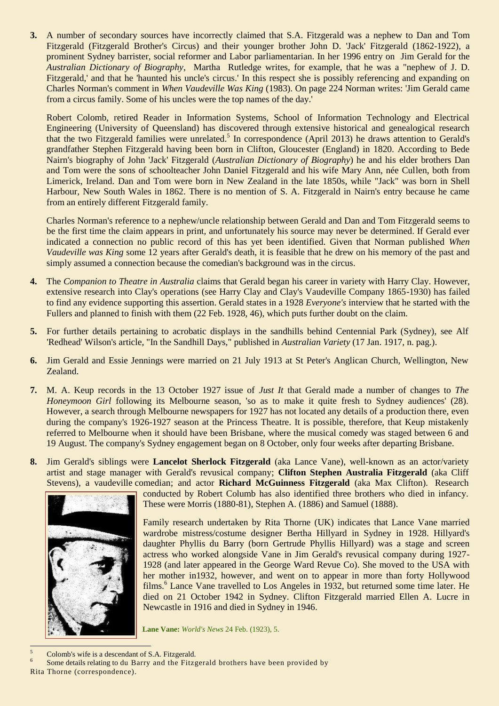**3.** A number of secondary sources have incorrectly claimed that S.A. Fitzgerald was a nephew to Dan and Tom Fitzgerald (Fitzgerald Brother's Circus) and their younger brother [John D. 'Jack' Fitzgerald](http://austlit.edu.au/run?ex=ShowAgent&agentId=A%29wb) (1862-1922), a prominent Sydney barrister, social reformer and Labor parliamentarian. In her 1996 entry on Jim Gerald for the *Australian Dictionary of Biography*, Martha Rutledge writes, for example, that he was a "nephew of J. D. Fitzgerald,' and that he 'haunted his uncle's circus.' In this respect she is possibly referencing and expanding on Charles Norman's comment in *When Vaudeville Was King* (1983). On page 224 Norman writes: 'Jim Gerald came from a circus family. Some of his uncles were the top names of the day.'

Robert Colomb, retired Reader in Information Systems, School of Information Technology and Electrical Engineering (University of Queensland) has discovered through extensive historical and genealogical research that the two Fitzgerald families were unrelated.<sup>5</sup> In correspondence (April 2013) he draws attention to Gerald's grandfather Stephen Fitzgerald having been born in Clifton, Gloucester (England) in 1820. According to Bede Nairn's biography of John 'Jack' Fitzgerald (*Australian Dictionary of Biography*) he and his elder brothers Dan and Tom were the sons of schoolteacher John Daniel Fitzgerald and his wife Mary Ann, née Cullen, both from Limerick, Ireland. Dan and Tom were born in New Zealand in the late 1850s, while "Jack" was born in Shell Harbour, New South Wales in 1862. There is no mention of S. A. Fitzgerald in Nairn's entry because he came from an entirely different Fitzgerald family.

Charles Norman's reference to a nephew/uncle relationship between Gerald and Dan and Tom Fitzgerald seems to be the first time the claim appears in print, and unfortunately his source may never be determined. If Gerald ever indicated a connection no public record of this has yet been identified. Given that Norman published *When Vaudeville was King* some 12 years after Gerald's death, it is feasible that he drew on his memory of the past and simply assumed a connection because the comedian's background was in the circus.

- **4.** The *Companion to Theatre in Australia* claims that Gerald began his career in variety with Harry Clay. However, extensive research into Clay's operations (see Harry Clay and Clay's Vaudeville Company 1865-1930) has failed to find any evidence supporting this assertion. Gerald states in a 1928 *Everyone's* interview that he started with the Fullers and planned to finish with them (22 Feb. 1928, 46), which puts further doubt on the claim.
- **5.** For further details pertaining to acrobatic displays in the sandhills behind Centennial Park (Sydney), see Alf 'Redhead' Wilson's article, "In the Sandhill Days," published in *Australian Variety* (17 Jan. 1917, n. pag.).
- **6.** Jim Gerald and Essie Jennings were married on 21 July 1913 at St Peter's Anglican Church, Wellington, New Zealand.
- **7.** M. A. Keup records in the 13 October 1927 issue of *Just It* that Gerald made a number of changes to *The Honeymoon Girl following its Melbourne season, 'so as to make it quite fresh to Sydney audiences' (28).* However, a search through Melbourne newspapers for 1927 has not located any details of a production there, even during the company's 1926-1927 season at the Princess Theatre. It is possible, therefore, that Keup mistakenly referred to Melbourne when it should have been Brisbane, where the musical comedy was staged between 6 and 19 August. The company's Sydney engagement began on 8 October, only four weeks after departing Brisbane.
- **8.** Jim Gerald's siblings were **Lancelot Sherlock Fitzgerald** (aka Lance Vane), well-known as an actor/variety artist and stage manager with Gerald's revusical company; **Clifton Stephen Australia Fitzgerald** (aka Cliff Stevens), a vaudeville comedian; and actor **Richard McGuinness Fitzgerald** (aka Max Clifton). Research



conducted by Robert Columb has also identified three brothers who died in infancy. These were Morris (1880-81), Stephen A. (1886) and Samuel (1888).

Family research undertaken by Rita Thorne (UK) indicates that Lance Vane married wardrobe mistress/costume designer Bertha Hillyard in Sydney in 1928. Hillyard's daughter Phyllis du Barry (born Gertrude Phyllis Hillyard) was a stage and screen actress who worked alongside Vane in Jim Gerald's revusical company during 1927- 1928 (and later appeared in the George Ward Revue Co). She moved to the USA with her mother in1932, however, and went on to appear in more than forty Hollywood films.<sup>6</sup> Lance Vane travelled to Los Angeles in 1932, but returned some time later. He died on 21 October 1942 in Sydney. Clifton Fitzgerald married Ellen A. Lucre in Newcastle in 1916 and died in Sydney in 1946.

**Lane Vane:** *World's News* 24 Feb. (1923), 5.

<sup>5</sup> Colomb's wife is a descendant of S.A. Fitzgerald.

Rita Thorne (correspondence).

 $\overline{a}$ 

<sup>6</sup> Some details relating to du Barry and the Fitzgerald brothers have been provided by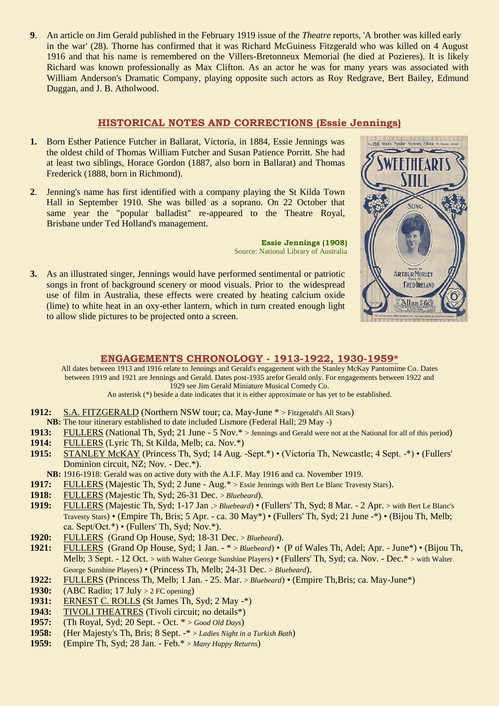**9**. An article on Jim Gerald published in the February 1919 issue of the *Theatre* reports, 'A brother was killed early in the war' (28). Thorne has confirmed that it was Richard McGuiness Fitzgerald who was killed on 4 August 1916 and that his name is remembered on the Villers-Bretonneux Memorial (he died at Pozieres). It is likely Richard was known professionally as Max Clifton. As an actor he was for many years was associated with William Anderson's Dramatic Company, playing opposite such actors as Roy Redgrave, Bert Bailey, Edmund Duggan, and J. B. Atholwood.

## **HISTORICAL NOTES AND CORRECTIONS (Essie Jennings)**

- **1.** Born Esther Patience Futcher in Ballarat, Victoria, in 1884, Essie Jennings was the oldest child of Thomas William Futcher and Susan Patience Porritt. She had at least two siblings, Horace Gordon (1887, also born in Ballarat) and Thomas Frederick (1888, born in Richmond).
- **2**. Jenning's name has first identified with a company playing the St Kilda Town Hall in September 1910. She was billed as a soprano. On 22 October that same year the "popular balladist" re-appeared to the Theatre Royal, Brisbane under Ted Holland's management.

**Essie Jennings (1908)** Source: National Library of Australia

**3.** As an illustrated singer, Jennings would have performed sentimental or patriotic songs in front of background scenery or mood visuals. Prior to the widespread use of film in Australia, these effects were created by heating calcium oxide (lime) to white heat in an oxy-ether lantern, which in turn created enough light to allow slide pictures to be projected onto a screen.



### **ENGAGEMENTS CHRONOLOGY - 1913-1922, 1930-1959\***

All dates between 1913 and 1916 relate to Jennings and Gerald's engagement with the Stanley McKay Pantomime Co. Dates between 1919 and 1921 are Jennings and Gerald. Dates post-1935 arefor Gerald only. For engagements between 1922 and 1929 see Jim Gerald Miniature Musical Comedy Co.

An asterisk (\*) beside a date indicates that it is either approximate or has yet to be established.

- **1912:** S.A. FITZGERALD (Northern NSW tour; ca. May-June \* > Fitzgerald's All Stars)
- **NB:** The tour itinerary established to date included Lismore (Federal Hall; 29 May -)
- **1913:** FULLERS (National Th, Syd; 21 June 5 Nov.\* > Jennings and Gerald were not at the National for all of this period)
- **1914:** FULLERS (Lyric Th, St Kilda, Melb; ca. Nov.\*)
- **1915:** STANLEY McKAY (Princess Th, Syd; 14 Aug. -Sept.\*) (Victoria Th, Newcastle; 4 Sept. -\*) (Fullers' Dominion circuit, NZ; Nov. - Dec.\*).

**NB:** 1916-1918: Gerald was on active duty with the A.I.F. May 1916 and ca. November 1919.

- **1917:** FULLERS (Majestic Th, Syd; 2 June Aug.\* > Essie Jennings with Bert Le Blanc Travesty Stars).
- **1918:** FULLERS (Majestic Th, Syd; 26-31 Dec. > *Bluebeard*).
- **1919:** FULLERS (Majestic Th, Syd; 1-17 Jan .> *Bluebeard*) (Fullers' Th, Syd; 8 Mar. 2 Apr. > with Bert Le Blanc's Travesty Stars) • (Empire Th, Bris; 5 Apr. - ca. 30 May\*) • (Fullers' Th, Syd; 21 June -\*) • (Bijou Th, Melb; ca. Sept/Oct.\*) • (Fullers' Th, Syd; Nov.\*).
- **1920:** FULLERS (Grand Op House, Syd; 18-31 Dec. > *Bluebeard*).
- **1921:** FULLERS (Grand Op House, Syd; 1 Jan. \* > *Bluebeard*) (P of Wales Th, Adel; Apr. June\*) (Bijou Th, Melb; 3 Sept. - 12 Oct. > with Walter George Sunshine Players) • (Fullers' Th, Syd; ca. Nov. - Dec.\* > with Walter George Sunshine Players) • (Princess Th, Melb; 24-31 Dec. > *Bluebeard*).
- **1922:** FULLERS (Princess Th, Melb; 1 Jan. 25. Mar. > *Bluebeard*) (Empire Th,Bris; ca. May-June\*)
- **1930:** (ABC Radio; 17 July > 2 FC opening)
- **1931:** ERNEST C. ROLLS (St James Th, Syd; 2 May -\*)
- **1943:** TIVOLI THEATRES (Tivoli circuit; no details\*)
- **1957:** (Th Royal, Syd; 20 Sept. Oct. \* > *Good Old Days*)
- **1958:** (Her Majesty's Th, Bris; 8 Sept. -\* > *Ladies Night in a Turkish Bath*)
- **1959:** (Empire Th, Syd; 28 Jan. Feb.\* > *Many Happy Returns*)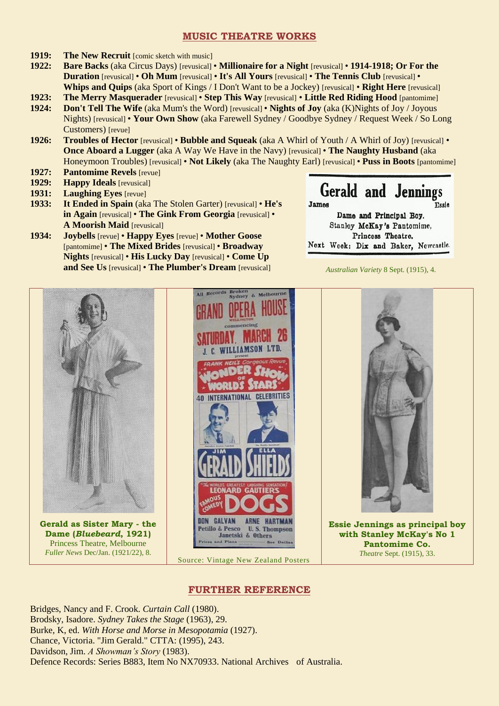## **MUSIC THEATRE WORKS**

- **1919:** The New Recruit [comic sketch with music]
- **1922: Bare Backs** (aka Circus Days) [revusical] **Millionaire for a Night** [revusical] **1914-1918; Or For the Duration** [revusical] • **Oh Mum** [revusical] • **It's All Yours** [revusical] • **The Tennis Club** [revusical] • **Whips and Quips** (aka Sport of Kings / I Don't Want to be a Jockey) [revusical] • **Right Here** [revusical]
- **1923: The Merry Masquerader** [revusical] **Step This Way** [revusical] **Little Red Riding Hood** [pantomime]
- **1924: Don't Tell The Wife** (aka Mum's the Word) [revusical] **Nights of Joy** (aka (K)Nights of Joy / Joyous Nights) [revusical] • **Your Own Show** (aka Farewell Sydney / Goodbye Sydney / Request Week / So Long Customers) [revue]
- **1926: Troubles of Hector** [revusical] **Bubble and Squeak** (aka A Whirl of Youth / A Whirl of Joy) [revusical] **Once Aboard a Lugger** (aka A Way We Have in the Navy) [revusical] • **The Naughty Husband** (aka Honeymoon Troubles) [revusical] • **Not Likely** (aka The Naughty Earl) [revusical] • **Puss in Boots** [pantomime]
- **1927: Pantomime Revels** [revue]
- **1929: Happy Ideals** [revusical]
- **1931: Laughing Eyes** [revue]
- **1933: It Ended in Spain** (aka The Stolen Garter) [revusical] **He's in Again** [revusical] • **The Gink From Georgia** [revusical] • **A Moorish Maid** [revusical]
- **1934: Joybells** [revue] **Happy Eyes** [revue] **Mother Goose** [pantomime] • **The Mixed Brides** [revusical] • **Broadway Nights** [revusical] • **His Lucky Day** [revusical] • **Come Up and See Us** [revusical] • **The Plumber's Dream** [revusical]

**Gerald and Jennings** 

James **Essie** Dame and Principal Boy. Stanley McKay's Pantomime. Princess Theatre. Next Week: Dix and Baker, Newcastle.

*Australian Variety* 8 Sept. (1915), 4.



# **FURTHER REFERENCE**

Bridges, Nancy and F. Crook. *Curtain Call* (1980). Brodsky, Isadore. *Sydney Takes the Stage* (1963), 29. Burke, K, ed. *With Horse and Morse in Mesopotamia* (1927). Chance, Victoria. "Jim Gerald." CTTA: (1995), 243. Davidson, Jim. *A Showman's Story* (1983). Defence Records: Series B883, Item No NX70933. National Archives of Australia.